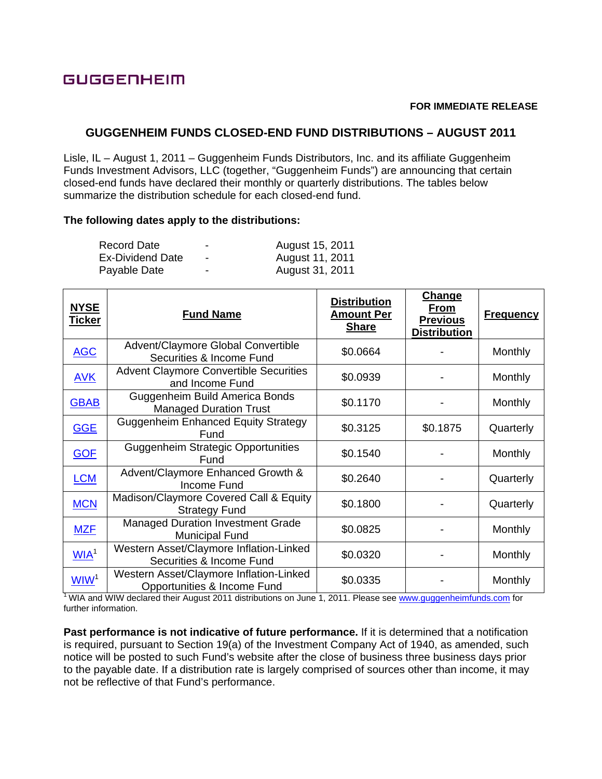# **GUGGENHEIM**

## **FOR IMMEDIATE RELEASE**

## **GUGGENHEIM FUNDS CLOSED-END FUND DISTRIBUTIONS – AUGUST 2011**

Lisle, IL – August 1, 2011 – Guggenheim Funds Distributors, Inc. and its affiliate Guggenheim Funds Investment Advisors, LLC (together, "Guggenheim Funds") are announcing that certain closed-end funds have declared their monthly or quarterly distributions. The tables below summarize the distribution schedule for each closed-end fund.

### **The following dates apply to the distributions:**

| Record Date      | - | August 15, 2011 |
|------------------|---|-----------------|
| Ex-Dividend Date | - | August 11, 2011 |
| Payable Date     | - | August 31, 2011 |

| <b>NYSE</b><br><u>Ticker</u> | <b>Fund Name</b>                                                       | <b>Distribution</b><br><b>Amount Per</b><br><b>Share</b> | Change<br>From<br><b>Previous</b><br><b>Distribution</b> | <b>Frequency</b> |
|------------------------------|------------------------------------------------------------------------|----------------------------------------------------------|----------------------------------------------------------|------------------|
| <b>AGC</b>                   | Advent/Claymore Global Convertible<br>Securities & Income Fund         | \$0.0664                                                 |                                                          | Monthly          |
| <b>AVK</b>                   | <b>Advent Claymore Convertible Securities</b><br>and Income Fund       | \$0.0939                                                 |                                                          | Monthly          |
| <b>GBAB</b>                  | Guggenheim Build America Bonds<br><b>Managed Duration Trust</b>        | \$0.1170                                                 |                                                          | Monthly          |
| <b>GGE</b>                   | <b>Guggenheim Enhanced Equity Strategy</b><br>Fund                     | \$0.3125                                                 | \$0.1875                                                 | Quarterly        |
| <b>GOF</b>                   | <b>Guggenheim Strategic Opportunities</b><br>Fund                      | \$0.1540                                                 |                                                          | Monthly          |
| <b>LCM</b>                   | Advent/Claymore Enhanced Growth &<br>Income Fund                       | \$0.2640                                                 |                                                          | Quarterly        |
| <b>MCN</b>                   | Madison/Claymore Covered Call & Equity<br><b>Strategy Fund</b>         | \$0.1800                                                 |                                                          | Quarterly        |
| <b>MZF</b>                   | <b>Managed Duration Investment Grade</b><br><b>Municipal Fund</b>      | \$0.0825                                                 |                                                          | Monthly          |
| WIA <sup>1</sup>             | Western Asset/Claymore Inflation-Linked<br>Securities & Income Fund    | \$0.0320                                                 |                                                          | Monthly          |
| WW <sup>1</sup>              | Western Asset/Claymore Inflation-Linked<br>Opportunities & Income Fund | \$0.0335                                                 |                                                          | Monthly          |

<sup>1</sup> WIA and WIW declared their August 2011 distributions on June 1, 2011. Please see www.guggenheimfunds.com for further information.

**Past performance is not indicative of future performance.** If it is determined that a notification is required, pursuant to Section 19(a) of the Investment Company Act of 1940, as amended, such notice will be posted to such Fund's website after the close of business three business days prior to the payable date. If a distribution rate is largely comprised of sources other than income, it may not be reflective of that Fund's performance.